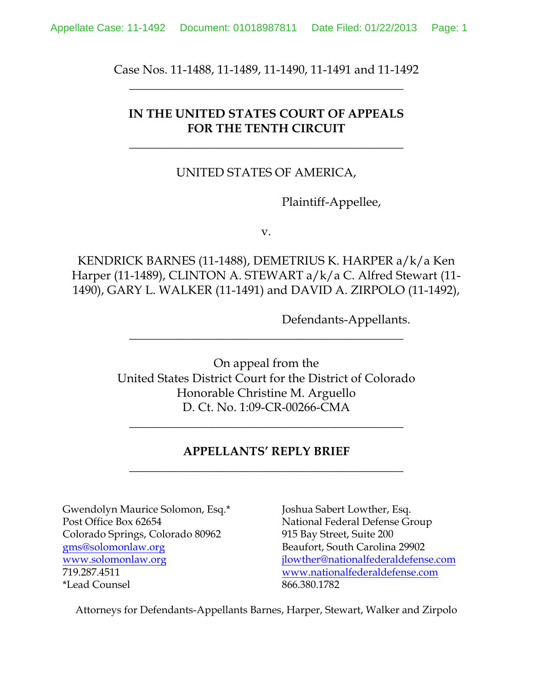Case Nos. 11-1488, 11-1489, 11-1490, 11-1491 and 11-1492 **\_\_\_\_\_\_\_\_\_\_\_\_\_\_\_\_\_\_\_\_\_\_\_\_\_\_\_\_\_\_\_\_\_\_\_\_\_\_\_\_\_\_\_\_\_**

# **IN THE UNITED STATES COURT OF APPEALS FOR THE TENTH CIRCUIT**

**\_\_\_\_\_\_\_\_\_\_\_\_\_\_\_\_\_\_\_\_\_\_\_\_\_\_\_\_\_\_\_\_\_\_\_\_\_\_\_\_\_\_\_\_\_**

### UNITED STATES OF AMERICA,

Plaintiff-Appellee,

v.

KENDRICK BARNES (11-1488), DEMETRIUS K. HARPER a/k/a Ken Harper (11-1489), CLINTON A. STEWART a/k/a C. Alfred Stewart (11- 1490), GARY L. WALKER (11-1491) and DAVID A. ZIRPOLO (11-1492),

Defendants-Appellants.

On appeal from the United States District Court for the District of Colorado Honorable Christine M. Arguello D. Ct. No. 1:09-CR-00266-CMA

**\_\_\_\_\_\_\_\_\_\_\_\_\_\_\_\_\_\_\_\_\_\_\_\_\_\_\_\_\_\_\_\_\_\_\_\_\_\_\_\_\_\_\_\_\_**

\_\_\_\_\_\_\_\_\_\_\_\_\_\_\_\_\_\_\_\_\_\_\_\_\_\_\_\_\_\_\_\_\_\_\_\_\_\_\_\_\_\_\_\_\_

# **APPELLANTS' REPLY BRIEF \_\_\_\_\_\_\_\_\_\_\_\_\_\_\_\_\_\_\_\_\_\_\_\_\_\_\_\_\_\_\_\_\_\_\_\_\_\_\_\_\_\_\_\_\_**

Gwendolyn Maurice Solomon, Esq.\* Joshua Sabert Lowther, Esq. Post Office Box 62654 National Federal Defense Group Colorado Springs, Colorado 80962 915 Bay Street, Suite 200 gms@solomonlaw.org Beaufort, South Carolina 29902 719.287.4511 www.nationalfederaldefense.com \*Lead Counsel 866.380.1782

www.solomonlaw.org jlowther@nationalfederaldefense.com

Attorneys for Defendants-Appellants Barnes, Harper, Stewart, Walker and Zirpolo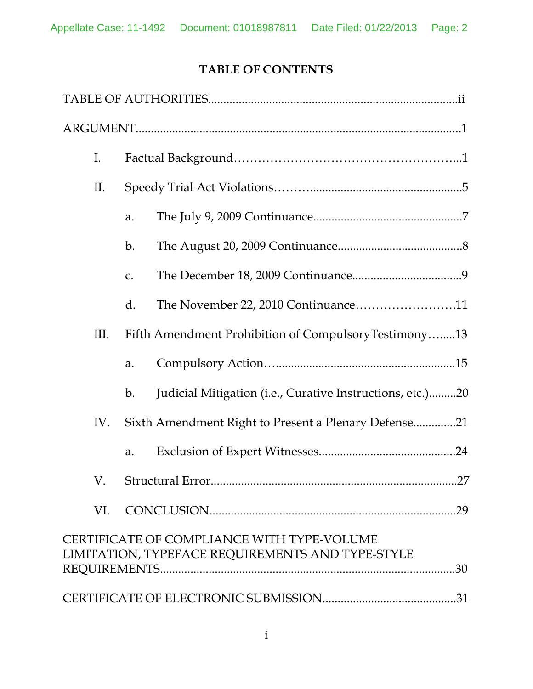# **TABLE OF CONTENTS**

| $I_{\cdot}$ |                                                                                                       |  |  |
|-------------|-------------------------------------------------------------------------------------------------------|--|--|
| II.         |                                                                                                       |  |  |
|             | a.                                                                                                    |  |  |
|             | $\mathbf{b}$ .                                                                                        |  |  |
|             | C.                                                                                                    |  |  |
|             | The November 22, 2010 Continuance11<br>d.                                                             |  |  |
| III.        | Fifth Amendment Prohibition of CompulsoryTestimony13                                                  |  |  |
|             | a.                                                                                                    |  |  |
|             | Judicial Mitigation (i.e., Curative Instructions, etc.)20<br>b.                                       |  |  |
| IV.         | Sixth Amendment Right to Present a Plenary Defense21                                                  |  |  |
|             | a.                                                                                                    |  |  |
| $V_{\cdot}$ | 27<br>Structural Error                                                                                |  |  |
| VI.         |                                                                                                       |  |  |
|             | CERTIFICATE OF COMPLIANCE WITH TYPE-VOLUME<br>LIMITATION, TYPEFACE REQUIREMENTS AND TYPE-STYLE<br>.30 |  |  |
|             |                                                                                                       |  |  |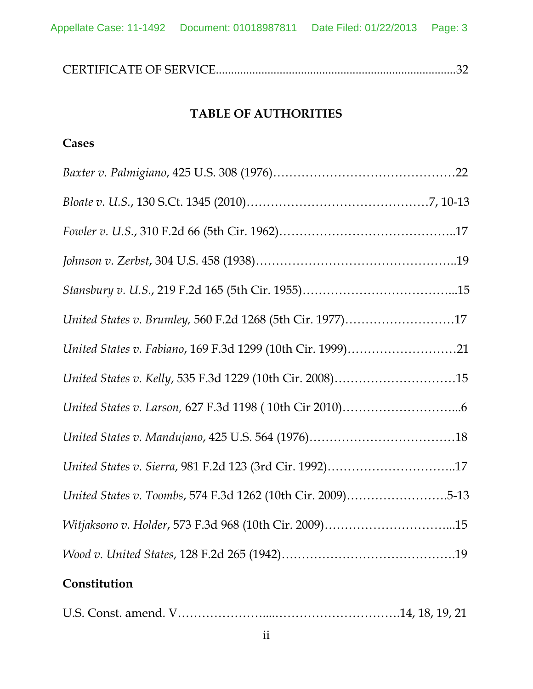# **TABLE OF AUTHORITIES**

# **Cases**

| United States v. Brumley, 560 F.2d 1268 (5th Cir. 1977)17   |  |
|-------------------------------------------------------------|--|
| United States v. Fabiano, 169 F.3d 1299 (10th Cir. 1999)21  |  |
| United States v. Kelly, 535 F.3d 1229 (10th Cir. 2008)15    |  |
|                                                             |  |
|                                                             |  |
| United States v. Sierra, 981 F.2d 123 (3rd Cir. 1992)17     |  |
| United States v. Toombs, 574 F.3d 1262 (10th Cir. 2009)5-13 |  |
| Witjaksono v. Holder, 573 F.3d 968 (10th Cir. 2009)15       |  |
|                                                             |  |
| Constitution                                                |  |

|--|--|--|--|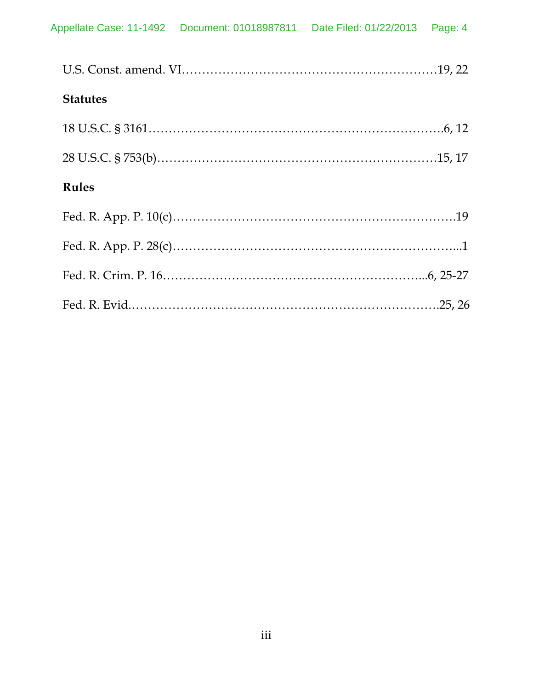| <b>Statutes</b> |  |
|-----------------|--|
|                 |  |
|                 |  |
| <b>Rules</b>    |  |
|                 |  |
|                 |  |
|                 |  |
|                 |  |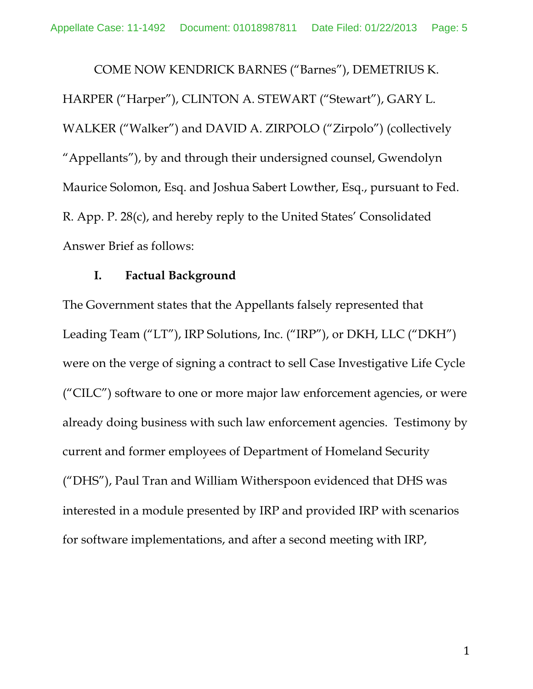COME NOW KENDRICK BARNES ("Barnes"), DEMETRIUS K. HARPER ("Harper"), CLINTON A. STEWART ("Stewart"), GARY L. WALKER ("Walker") and DAVID A. ZIRPOLO ("Zirpolo") (collectively "Appellants"), by and through their undersigned counsel, Gwendolyn Maurice Solomon, Esq. and Joshua Sabert Lowther, Esq., pursuant to Fed. R. App. P. 28(c), and hereby reply to the United States' Consolidated Answer Brief as follows:

### **I. Factual Background**

The Government states that the Appellants falsely represented that Leading Team ("LT"), IRP Solutions, Inc. ("IRP"), or DKH, LLC ("DKH") were on the verge of signing a contract to sell Case Investigative Life Cycle ("CILC") software to one or more major law enforcement agencies, or were already doing business with such law enforcement agencies. Testimony by current and former employees of Department of Homeland Security ("DHS"), Paul Tran and William Witherspoon evidenced that DHS was interested in a module presented by IRP and provided IRP with scenarios for software implementations, and after a second meeting with IRP,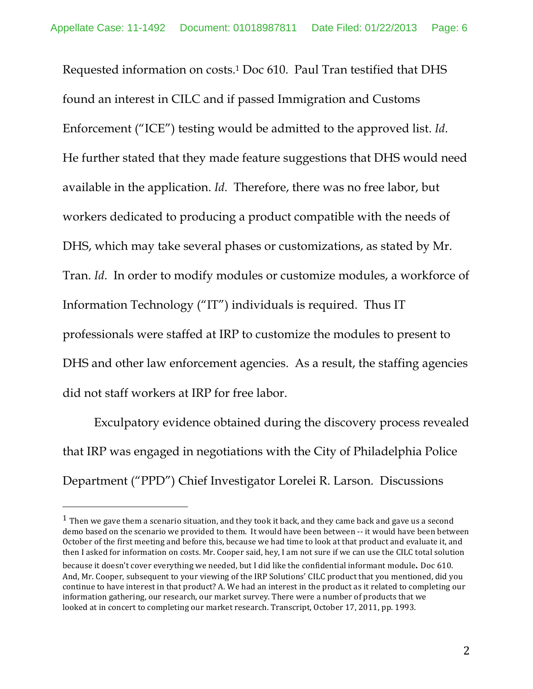Requested information on costs.1 Doc 610. Paul Tran testified that DHS found an interest in CILC and if passed Immigration and Customs Enforcement ("ICE") testing would be admitted to the approved list. *Id*. He further stated that they made feature suggestions that DHS would need available in the application. *Id*. Therefore, there was no free labor, but workers dedicated to producing a product compatible with the needs of DHS, which may take several phases or customizations, as stated by Mr. Tran. *Id*. In order to modify modules or customize modules, a workforce of Information Technology ("IT") individuals is required. Thus IT professionals were staffed at IRP to customize the modules to present to DHS and other law enforcement agencies. As a result, the staffing agencies did not staff workers at IRP for free labor.

Exculpatory evidence obtained during the discovery process revealed that IRP was engaged in negotiations with the City of Philadelphia Police Department ("PPD") Chief Investigator Lorelei R. Larson. Discussions

 $1$  Then we gave them a scenario situation, and they took it back, and they came back and gave us a second demo based on the scenario we provided to them. It would have been between -- it would have been between October of the first meeting and before this, because we had time to look at that product and evaluate it, and then I asked for information on costs. Mr. Cooper said, hey, I am not sure if we can use the CILC total solution because it doesn't cover everything we needed, but I did like the confidential informant module. Doc 610. And, Mr. Cooper, subsequent to your viewing of the IRP Solutions' CILC product that you mentioned, did you continue to have interest in that product? A. We had an interest in the product as it related to completing our information gathering, our research, our market survey. There were a number of products that we looked at in concert to completing our market research. Transcript, October 17, 2011, pp. 1993.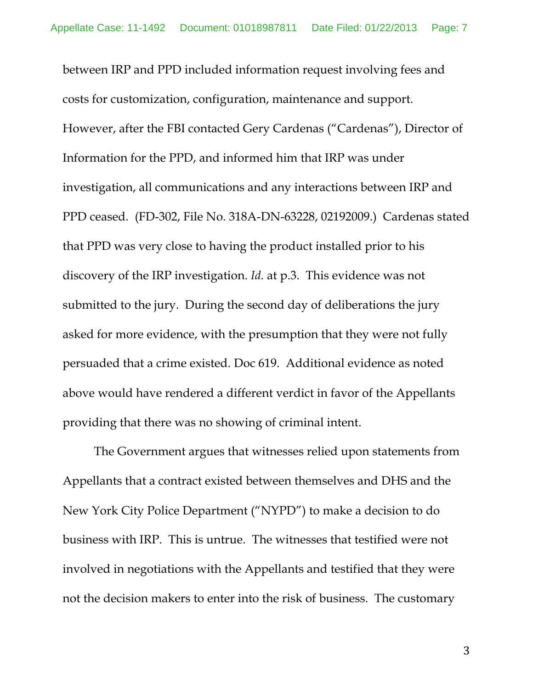between IRP and PPD included information request involving fees and costs for customization, configuration, maintenance and support. However, after the FBI contacted Gery Cardenas ("Cardenas"), Director of Information for the PPD, and informed him that IRP was under investigation, all communications and any interactions between IRP and PPD ceased. (FD-302, File No. 318A-DN-63228, 02192009.) Cardenas stated that PPD was very close to having the product installed prior to his discovery of the IRP investigation. *Id.* at p.3. This evidence was not submitted to the jury. During the second day of deliberations the jury asked for more evidence, with the presumption that they were not fully persuaded that a crime existed. Doc 619. Additional evidence as noted above would have rendered a different verdict in favor of the Appellants providing that there was no showing of criminal intent.

The Government argues that witnesses relied upon statements from Appellants that a contract existed between themselves and DHS and the New York City Police Department ("NYPD") to make a decision to do business with IRP. This is untrue. The witnesses that testified were not involved in negotiations with the Appellants and testified that they were not the decision makers to enter into the risk of business. The customary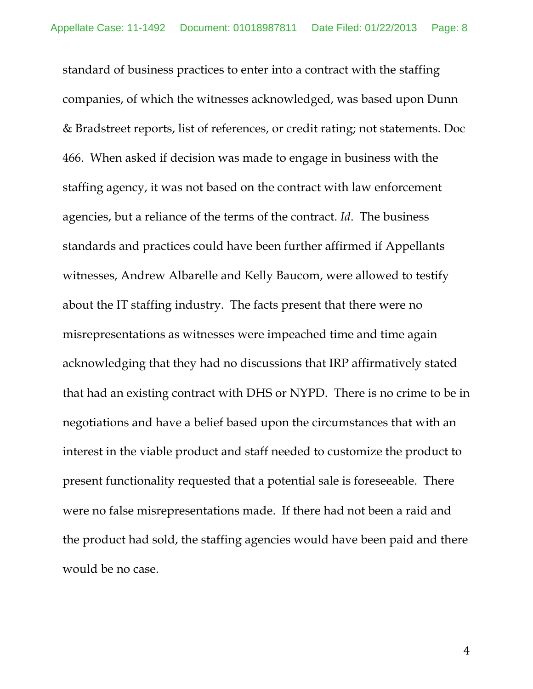standard of business practices to enter into a contract with the staffing companies, of which the witnesses acknowledged, was based upon Dunn & Bradstreet reports, list of references, or credit rating; not statements. Doc 466. When asked if decision was made to engage in business with the staffing agency, it was not based on the contract with law enforcement agencies, but a reliance of the terms of the contract. *Id*. The business standards and practices could have been further affirmed if Appellants witnesses, Andrew Albarelle and Kelly Baucom, were allowed to testify about the IT staffing industry. The facts present that there were no misrepresentations as witnesses were impeached time and time again acknowledging that they had no discussions that IRP affirmatively stated that had an existing contract with DHS or NYPD. There is no crime to be in negotiations and have a belief based upon the circumstances that with an interest in the viable product and staff needed to customize the product to present functionality requested that a potential sale is foreseeable. There were no false misrepresentations made. If there had not been a raid and the product had sold, the staffing agencies would have been paid and there would be no case.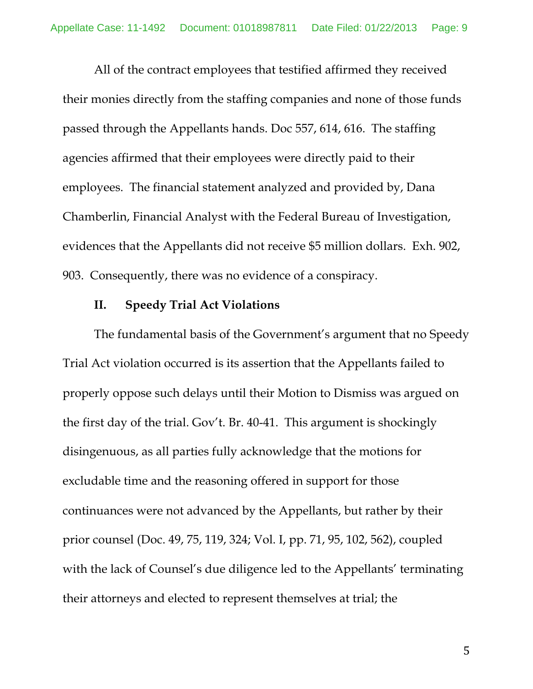All of the contract employees that testified affirmed they received their monies directly from the staffing companies and none of those funds passed through the Appellants hands. Doc 557, 614, 616. The staffing agencies affirmed that their employees were directly paid to their employees. The financial statement analyzed and provided by, Dana Chamberlin, Financial Analyst with the Federal Bureau of Investigation, evidences that the Appellants did not receive \$5 million dollars. Exh. 902, 903. Consequently, there was no evidence of a conspiracy.

#### **II. Speedy Trial Act Violations**

The fundamental basis of the Government's argument that no Speedy Trial Act violation occurred is its assertion that the Appellants failed to properly oppose such delays until their Motion to Dismiss was argued on the first day of the trial. Gov't. Br. 40-41. This argument is shockingly disingenuous, as all parties fully acknowledge that the motions for excludable time and the reasoning offered in support for those continuances were not advanced by the Appellants, but rather by their prior counsel (Doc. 49, 75, 119, 324; Vol. I, pp. 71, 95, 102, 562), coupled with the lack of Counsel's due diligence led to the Appellants' terminating their attorneys and elected to represent themselves at trial; the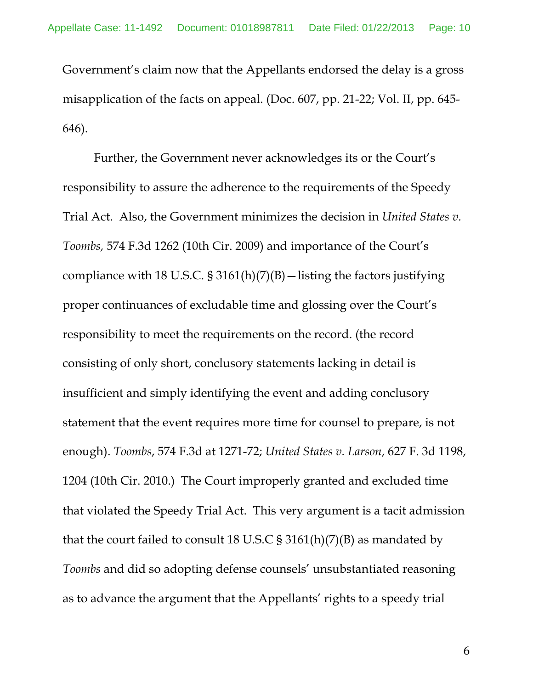Government's claim now that the Appellants endorsed the delay is a gross misapplication of the facts on appeal. (Doc. 607, pp. 21-22; Vol. II, pp. 645- 646).

Further, the Government never acknowledges its or the Court's responsibility to assure the adherence to the requirements of the Speedy Trial Act. Also, the Government minimizes the decision in *United States v. Toombs,* 574 F.3d 1262 (10th Cir. 2009) and importance of the Court's compliance with 18 U.S.C.  $\S 3161(h)(7)(B)$  - listing the factors justifying proper continuances of excludable time and glossing over the Court's responsibility to meet the requirements on the record. (the record consisting of only short, conclusory statements lacking in detail is insufficient and simply identifying the event and adding conclusory statement that the event requires more time for counsel to prepare, is not enough). *Toombs*, 574 F.3d at 1271-72; *United States v. Larson*, 627 F. 3d 1198, 1204 (10th Cir. 2010.) The Court improperly granted and excluded time that violated the Speedy Trial Act. This very argument is a tacit admission that the court failed to consult 18 U.S.C  $\S 3161(h)(7)(B)$  as mandated by *Toombs* and did so adopting defense counsels' unsubstantiated reasoning as to advance the argument that the Appellants' rights to a speedy trial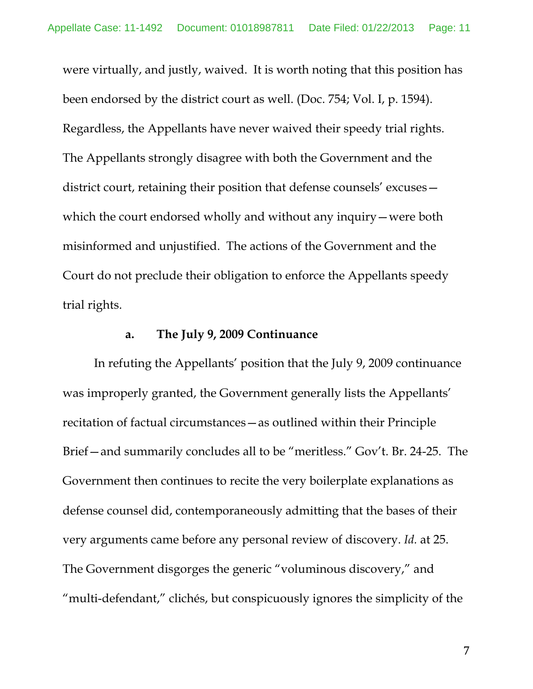were virtually, and justly, waived. It is worth noting that this position has been endorsed by the district court as well. (Doc. 754; Vol. I, p. 1594). Regardless, the Appellants have never waived their speedy trial rights. The Appellants strongly disagree with both the Government and the district court, retaining their position that defense counsels' excuses which the court endorsed wholly and without any inquiry—were both misinformed and unjustified. The actions of the Government and the Court do not preclude their obligation to enforce the Appellants speedy trial rights.

### **a. The July 9, 2009 Continuance**

In refuting the Appellants' position that the July 9, 2009 continuance was improperly granted, the Government generally lists the Appellants' recitation of factual circumstances—as outlined within their Principle Brief—and summarily concludes all to be "meritless." Gov't. Br. 24-25. The Government then continues to recite the very boilerplate explanations as defense counsel did, contemporaneously admitting that the bases of their very arguments came before any personal review of discovery. *Id.* at 25. The Government disgorges the generic "voluminous discovery," and "multi-defendant," clichés, but conspicuously ignores the simplicity of the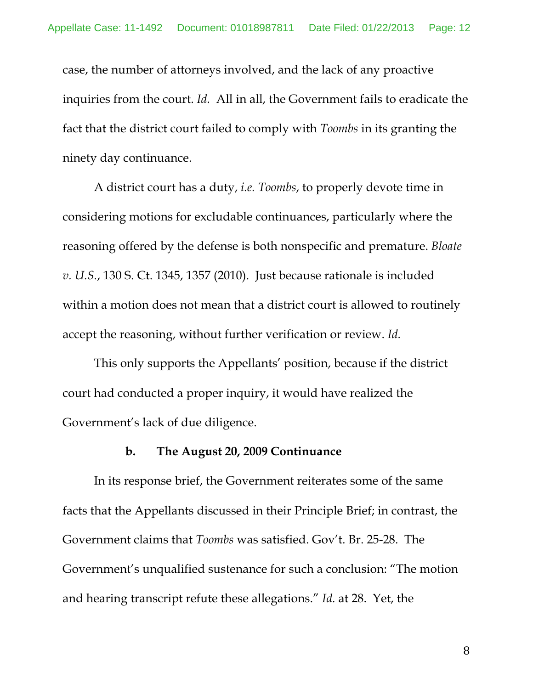case, the number of attorneys involved, and the lack of any proactive inquiries from the court. *Id.* All in all, the Government fails to eradicate the fact that the district court failed to comply with *Toombs* in its granting the ninety day continuance.

A district court has a duty, *i.e. Toombs*, to properly devote time in considering motions for excludable continuances, particularly where the reasoning offered by the defense is both nonspecific and premature. *Bloate v. U.S.*, 130 S. Ct. 1345, 1357 (2010). Just because rationale is included within a motion does not mean that a district court is allowed to routinely accept the reasoning, without further verification or review. *Id.*

This only supports the Appellants' position, because if the district court had conducted a proper inquiry, it would have realized the Government's lack of due diligence.

### **b. The August 20, 2009 Continuance**

In its response brief, the Government reiterates some of the same facts that the Appellants discussed in their Principle Brief; in contrast, the Government claims that *Toombs* was satisfied. Gov't. Br. 25-28. The Government's unqualified sustenance for such a conclusion: "The motion and hearing transcript refute these allegations." *Id.* at 28. Yet, the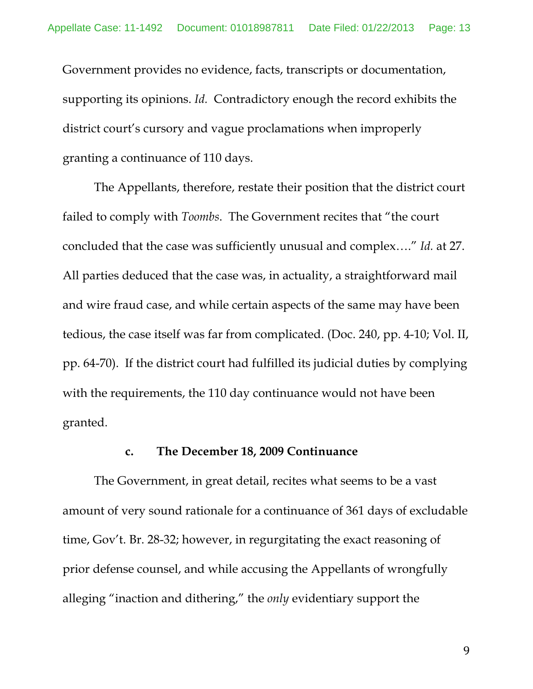Government provides no evidence, facts, transcripts or documentation, supporting its opinions. *Id.* Contradictory enough the record exhibits the district court's cursory and vague proclamations when improperly granting a continuance of 110 days.

The Appellants, therefore, restate their position that the district court failed to comply with *Toombs*. The Government recites that "the court concluded that the case was sufficiently unusual and complex…." *Id.* at 27. All parties deduced that the case was, in actuality, a straightforward mail and wire fraud case, and while certain aspects of the same may have been tedious, the case itself was far from complicated. (Doc. 240, pp. 4-10; Vol. II, pp. 64-70). If the district court had fulfilled its judicial duties by complying with the requirements, the 110 day continuance would not have been granted.

### **c. The December 18, 2009 Continuance**

The Government, in great detail, recites what seems to be a vast amount of very sound rationale for a continuance of 361 days of excludable time, Gov't. Br. 28-32; however, in regurgitating the exact reasoning of prior defense counsel, and while accusing the Appellants of wrongfully alleging "inaction and dithering," the *only* evidentiary support the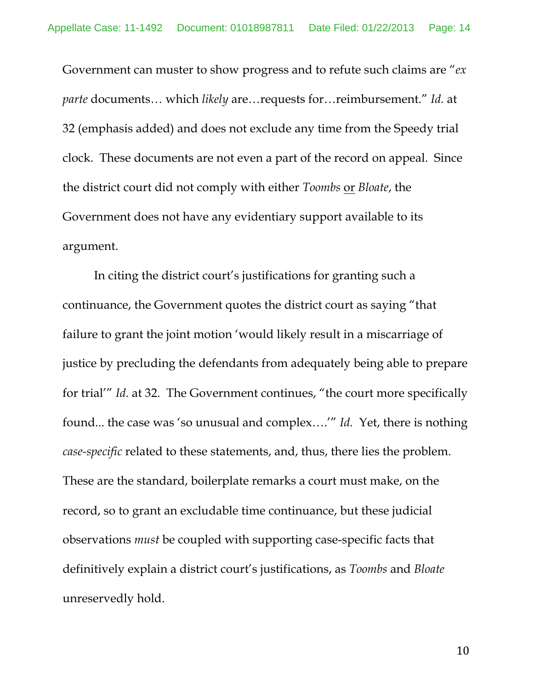Government can muster to show progress and to refute such claims are "*ex parte* documents… which *likely* are…requests for…reimbursement." *Id.* at 32 (emphasis added) and does not exclude any time from the Speedy trial clock. These documents are not even a part of the record on appeal. Since the district court did not comply with either *Toombs* or *Bloate*, the Government does not have any evidentiary support available to its argument.

In citing the district court's justifications for granting such a continuance, the Government quotes the district court as saying "that failure to grant the joint motion 'would likely result in a miscarriage of justice by precluding the defendants from adequately being able to prepare for trial'" *Id.* at 32. The Government continues, "the court more specifically found... the case was 'so unusual and complex….'" *Id.* Yet, there is nothing *case-specific* related to these statements, and, thus, there lies the problem. These are the standard, boilerplate remarks a court must make, on the record, so to grant an excludable time continuance, but these judicial observations *must* be coupled with supporting case-specific facts that definitively explain a district court's justifications, as *Toombs* and *Bloate* unreservedly hold.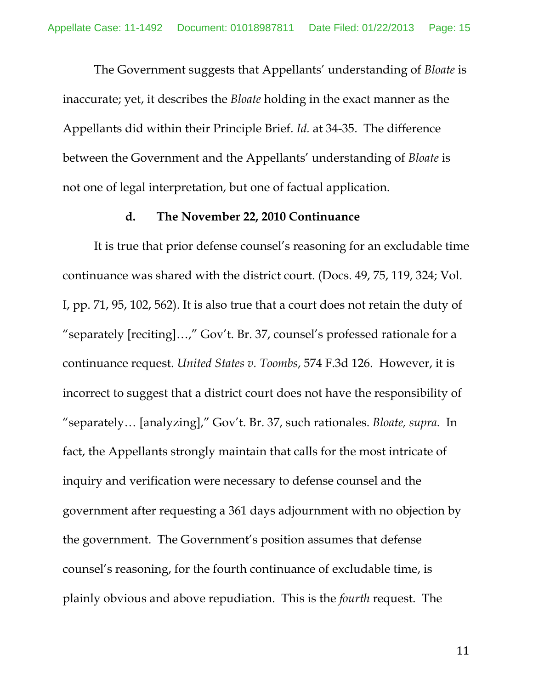The Government suggests that Appellants' understanding of *Bloate* is inaccurate; yet, it describes the *Bloate* holding in the exact manner as the Appellants did within their Principle Brief. *Id.* at 34-35. The difference between the Government and the Appellants' understanding of *Bloate* is not one of legal interpretation, but one of factual application.

#### **d. The November 22, 2010 Continuance**

It is true that prior defense counsel's reasoning for an excludable time continuance was shared with the district court. (Docs. 49, 75, 119, 324; Vol. I, pp. 71, 95, 102, 562). It is also true that a court does not retain the duty of "separately [reciting]…," Gov't. Br. 37, counsel's professed rationale for a continuance request. *United States v. Toombs*, 574 F.3d 126. However, it is incorrect to suggest that a district court does not have the responsibility of "separately… [analyzing]," Gov't. Br. 37, such rationales. *Bloate, supra.* In fact, the Appellants strongly maintain that calls for the most intricate of inquiry and verification were necessary to defense counsel and the government after requesting a 361 days adjournment with no objection by the government. The Government's position assumes that defense counsel's reasoning, for the fourth continuance of excludable time, is plainly obvious and above repudiation. This is the *fourth* request. The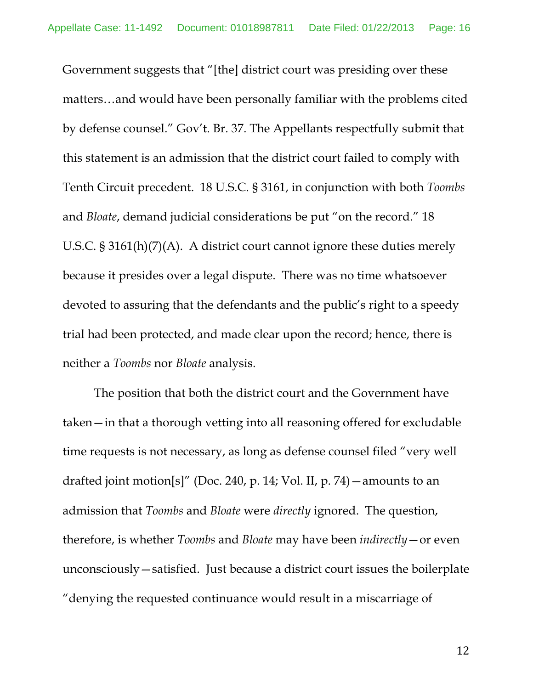Government suggests that "[the] district court was presiding over these matters…and would have been personally familiar with the problems cited by defense counsel." Gov't. Br. 37. The Appellants respectfully submit that this statement is an admission that the district court failed to comply with Tenth Circuit precedent. 18 U.S.C. § 3161, in conjunction with both *Toombs*  and *Bloate*, demand judicial considerations be put "on the record." 18 U.S.C. § 3161(h)(7)(A). A district court cannot ignore these duties merely because it presides over a legal dispute. There was no time whatsoever devoted to assuring that the defendants and the public's right to a speedy trial had been protected, and made clear upon the record; hence, there is neither a *Toombs* nor *Bloate* analysis.

The position that both the district court and the Government have taken—in that a thorough vetting into all reasoning offered for excludable time requests is not necessary, as long as defense counsel filed "very well drafted joint motion[s]" (Doc. 240, p. 14; Vol. II, p. 74)—amounts to an admission that *Toombs* and *Bloate* were *directly* ignored. The question, therefore, is whether *Toombs* and *Bloate* may have been *indirectly*—or even unconsciously—satisfied. Just because a district court issues the boilerplate "denying the requested continuance would result in a miscarriage of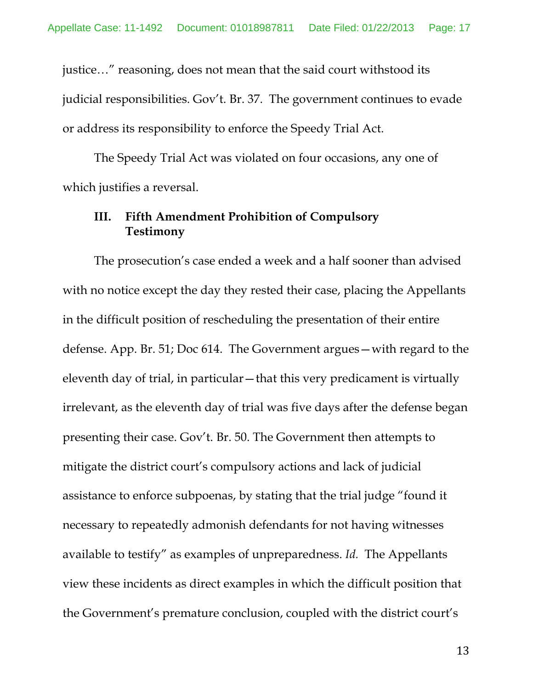justice…" reasoning, does not mean that the said court withstood its judicial responsibilities. Gov't. Br. 37. The government continues to evade or address its responsibility to enforce the Speedy Trial Act.

The Speedy Trial Act was violated on four occasions, any one of which justifies a reversal.

# **III. Fifth Amendment Prohibition of Compulsory Testimony**

The prosecution's case ended a week and a half sooner than advised with no notice except the day they rested their case, placing the Appellants in the difficult position of rescheduling the presentation of their entire defense. App. Br. 51; Doc 614. The Government argues—with regard to the eleventh day of trial, in particular—that this very predicament is virtually irrelevant, as the eleventh day of trial was five days after the defense began presenting their case. Gov't. Br. 50. The Government then attempts to mitigate the district court's compulsory actions and lack of judicial assistance to enforce subpoenas, by stating that the trial judge "found it necessary to repeatedly admonish defendants for not having witnesses available to testify" as examples of unpreparedness. *Id.* The Appellants view these incidents as direct examples in which the difficult position that the Government's premature conclusion, coupled with the district court's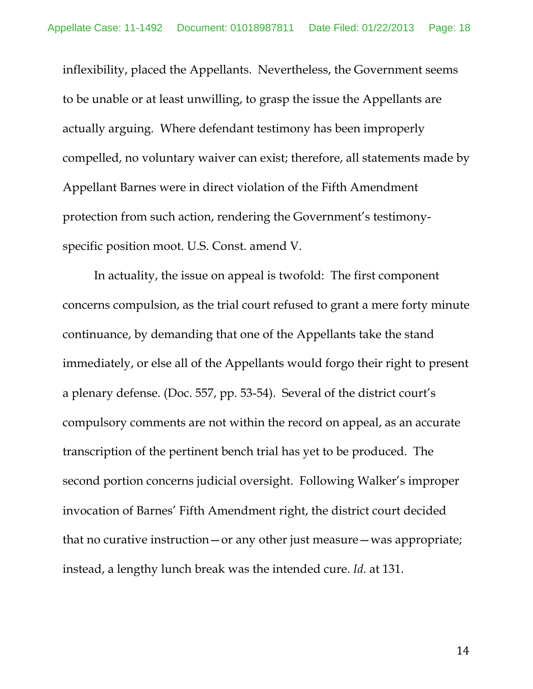inflexibility, placed the Appellants. Nevertheless, the Government seems to be unable or at least unwilling, to grasp the issue the Appellants are actually arguing. Where defendant testimony has been improperly compelled, no voluntary waiver can exist; therefore, all statements made by Appellant Barnes were in direct violation of the Fifth Amendment protection from such action, rendering the Government's testimonyspecific position moot. U.S. Const. amend V.

In actuality, the issue on appeal is twofold: The first component concerns compulsion, as the trial court refused to grant a mere forty minute continuance, by demanding that one of the Appellants take the stand immediately, or else all of the Appellants would forgo their right to present a plenary defense. (Doc. 557, pp. 53-54). Several of the district court's compulsory comments are not within the record on appeal, as an accurate transcription of the pertinent bench trial has yet to be produced. The second portion concerns judicial oversight. Following Walker's improper invocation of Barnes' Fifth Amendment right, the district court decided that no curative instruction—or any other just measure—was appropriate; instead, a lengthy lunch break was the intended cure. *Id.* at 131.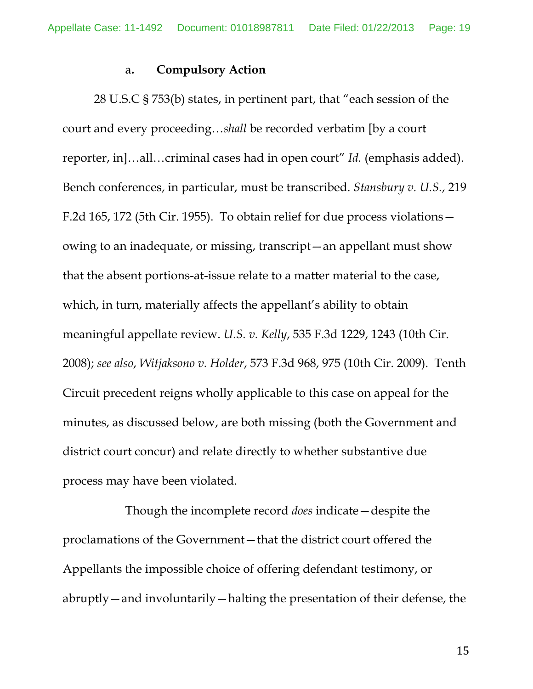#### a**. Compulsory Action**

28 U.S.C § 753(b) states, in pertinent part, that "each session of the court and every proceeding…*shall* be recorded verbatim [by a court reporter, in]…all…criminal cases had in open court" *Id.* (emphasis added). Bench conferences, in particular, must be transcribed. *Stansbury v. U.S.*, 219 F.2d 165, 172 (5th Cir. 1955). To obtain relief for due process violations owing to an inadequate, or missing, transcript—an appellant must show that the absent portions-at-issue relate to a matter material to the case, which, in turn, materially affects the appellant's ability to obtain meaningful appellate review. *U.S. v. Kelly*, 535 F.3d 1229, 1243 (10th Cir. 2008); *see also*, *Witjaksono v. Holder*, 573 F.3d 968, 975 (10th Cir. 2009). Tenth Circuit precedent reigns wholly applicable to this case on appeal for the minutes, as discussed below, are both missing (both the Government and district court concur) and relate directly to whether substantive due process may have been violated.

Though the incomplete record *does* indicate—despite the proclamations of the Government—that the district court offered the Appellants the impossible choice of offering defendant testimony, or abruptly—and involuntarily—halting the presentation of their defense, the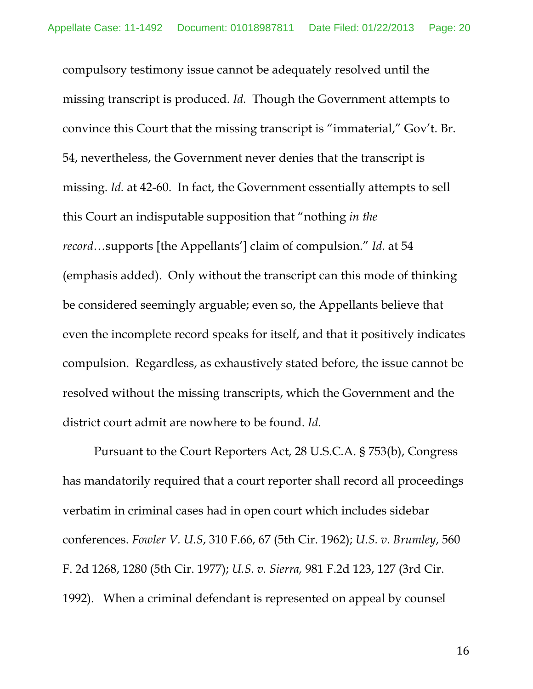compulsory testimony issue cannot be adequately resolved until the missing transcript is produced. *Id.* Though the Government attempts to convince this Court that the missing transcript is "immaterial," Gov't. Br. 54, nevertheless, the Government never denies that the transcript is missing. *Id.* at 42-60. In fact, the Government essentially attempts to sell this Court an indisputable supposition that "nothing *in the record…*supports [the Appellants'] claim of compulsion." *Id.* at 54 (emphasis added). Only without the transcript can this mode of thinking be considered seemingly arguable; even so, the Appellants believe that even the incomplete record speaks for itself, and that it positively indicates compulsion. Regardless, as exhaustively stated before, the issue cannot be resolved without the missing transcripts, which the Government and the district court admit are nowhere to be found. *Id.*

Pursuant to the Court Reporters Act, 28 U.S.C.A. § 753(b), Congress has mandatorily required that a court reporter shall record all proceedings verbatim in criminal cases had in open court which includes sidebar conferences. *Fowler V. U.S*, 310 F.66, 67 (5th Cir. 1962); *U.S. v. Brumley*, 560 F. 2d 1268, 1280 (5th Cir. 1977); *U.S. v. Sierra,* 981 F.2d 123, 127 (3rd Cir. 1992). When a criminal defendant is represented on appeal by counsel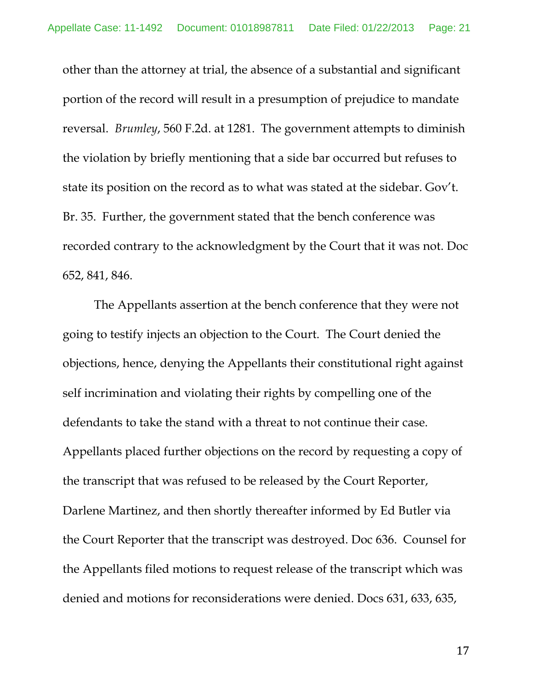other than the attorney at trial, the absence of a substantial and significant portion of the record will result in a presumption of prejudice to mandate reversal. *Brumley*, 560 F.2d. at 1281. The government attempts to diminish the violation by briefly mentioning that a side bar occurred but refuses to state its position on the record as to what was stated at the sidebar. Gov't. Br. 35. Further, the government stated that the bench conference was recorded contrary to the acknowledgment by the Court that it was not. Doc 652, 841, 846.

The Appellants assertion at the bench conference that they were not going to testify injects an objection to the Court. The Court denied the objections, hence, denying the Appellants their constitutional right against self incrimination and violating their rights by compelling one of the defendants to take the stand with a threat to not continue their case. Appellants placed further objections on the record by requesting a copy of the transcript that was refused to be released by the Court Reporter, Darlene Martinez, and then shortly thereafter informed by Ed Butler via the Court Reporter that the transcript was destroyed. Doc 636. Counsel for the Appellants filed motions to request release of the transcript which was denied and motions for reconsiderations were denied. Docs 631, 633, 635,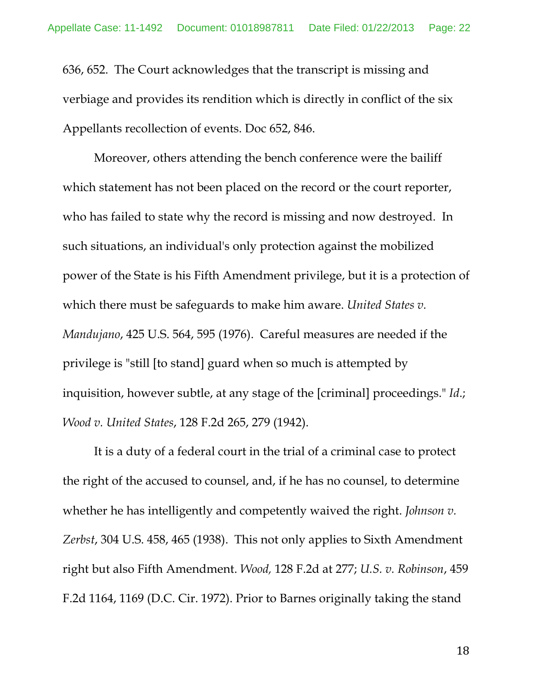636, 652. The Court acknowledges that the transcript is missing and verbiage and provides its rendition which is directly in conflict of the six Appellants recollection of events. Doc 652, 846.

Moreover, others attending the bench conference were the bailiff which statement has not been placed on the record or the court reporter, who has failed to state why the record is missing and now destroyed. In such situations, an individual's only protection against the mobilized power of the State is his Fifth Amendment privilege, but it is a protection of which there must be safeguards to make him aware. *United States v. Mandujano*, 425 U.S. 564, 595 (1976). Careful measures are needed if the privilege is "still [to stand] guard when so much is attempted by inquisition, however subtle, at any stage of the [criminal] proceedings." *Id*.; *Wood v. United States*, 128 F.2d 265, 279 (1942).

It is a duty of a federal court in the trial of a criminal case to protect the right of the accused to counsel, and, if he has no counsel, to determine whether he has intelligently and competently waived the right. *Johnson v*. *Zerbst*, 304 U.S. 458, 465 (1938). This not only applies to Sixth Amendment right but also Fifth Amendment. *Wood,* 128 F.2d at 277; *U.S. v. Robinson*, 459 F.2d 1164, 1169 (D.C. Cir. 1972). Prior to Barnes originally taking the stand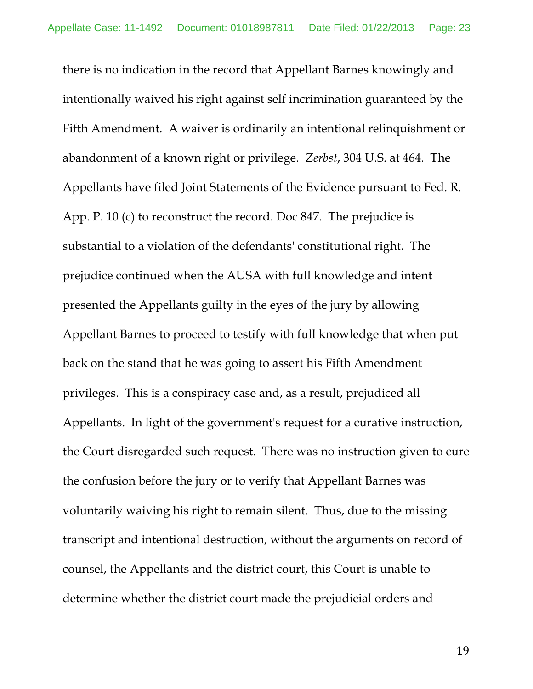there is no indication in the record that Appellant Barnes knowingly and intentionally waived his right against self incrimination guaranteed by the Fifth Amendment. A waiver is ordinarily an intentional relinquishment or abandonment of a known right or privilege. *Zerbst*, 304 U.S. at 464. The Appellants have filed Joint Statements of the Evidence pursuant to Fed. R. App. P. 10 (c) to reconstruct the record. Doc 847. The prejudice is substantial to a violation of the defendants' constitutional right. The prejudice continued when the AUSA with full knowledge and intent presented the Appellants guilty in the eyes of the jury by allowing Appellant Barnes to proceed to testify with full knowledge that when put back on the stand that he was going to assert his Fifth Amendment privileges. This is a conspiracy case and, as a result, prejudiced all Appellants. In light of the government's request for a curative instruction, the Court disregarded such request. There was no instruction given to cure the confusion before the jury or to verify that Appellant Barnes was voluntarily waiving his right to remain silent. Thus, due to the missing transcript and intentional destruction, without the arguments on record of counsel, the Appellants and the district court, this Court is unable to determine whether the district court made the prejudicial orders and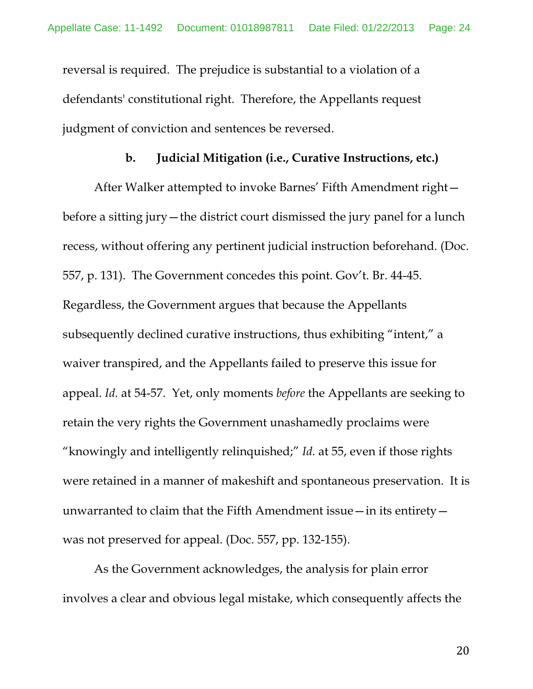reversal is required. The prejudice is substantial to a violation of a defendants' constitutional right. Therefore, the Appellants request judgment of conviction and sentences be reversed.

#### **b. Judicial Mitigation (i.e., Curative Instructions, etc.)**

After Walker attempted to invoke Barnes' Fifth Amendment right before a sitting jury—the district court dismissed the jury panel for a lunch recess, without offering any pertinent judicial instruction beforehand. (Doc. 557, p. 131). The Government concedes this point. Gov't. Br. 44-45. Regardless, the Government argues that because the Appellants subsequently declined curative instructions, thus exhibiting "intent," a waiver transpired, and the Appellants failed to preserve this issue for appeal. *Id.* at 54-57. Yet, only moments *before* the Appellants are seeking to retain the very rights the Government unashamedly proclaims were "knowingly and intelligently relinquished;" *Id.* at 55, even if those rights were retained in a manner of makeshift and spontaneous preservation. It is unwarranted to claim that the Fifth Amendment issue—in its entirety was not preserved for appeal. (Doc. 557, pp. 132-155).

As the Government acknowledges, the analysis for plain error involves a clear and obvious legal mistake, which consequently affects the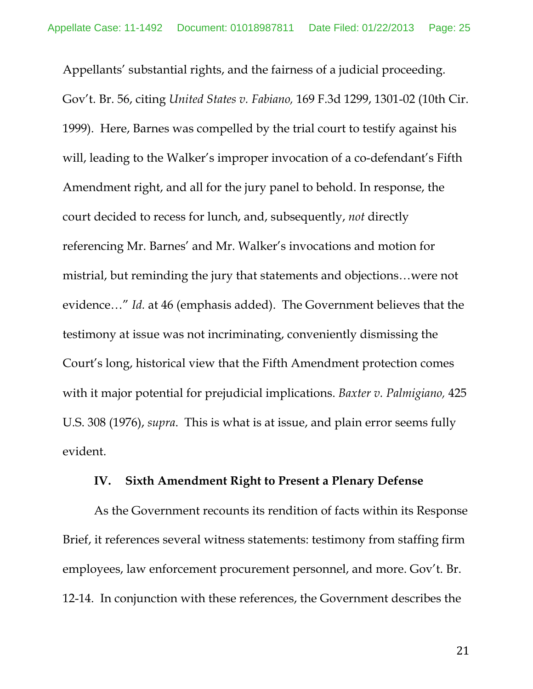Appellants' substantial rights, and the fairness of a judicial proceeding. Gov't. Br. 56, citing *United States v. Fabiano,* 169 F.3d 1299, 1301-02 (10th Cir. 1999). Here, Barnes was compelled by the trial court to testify against his will, leading to the Walker's improper invocation of a co-defendant's Fifth Amendment right, and all for the jury panel to behold. In response, the court decided to recess for lunch, and, subsequently, *not* directly referencing Mr. Barnes' and Mr. Walker's invocations and motion for mistrial, but reminding the jury that statements and objections…were not evidence…" *Id.* at 46 (emphasis added). The Government believes that the testimony at issue was not incriminating, conveniently dismissing the Court's long, historical view that the Fifth Amendment protection comes with it major potential for prejudicial implications. *Baxter v. Palmigiano,* 425 U.S. 308 (1976), *supra*.This is what is at issue, and plain error seems fully evident.

### **IV. Sixth Amendment Right to Present a Plenary Defense**

As the Government recounts its rendition of facts within its Response Brief, it references several witness statements: testimony from staffing firm employees, law enforcement procurement personnel, and more. Gov't. Br. 12-14. In conjunction with these references, the Government describes the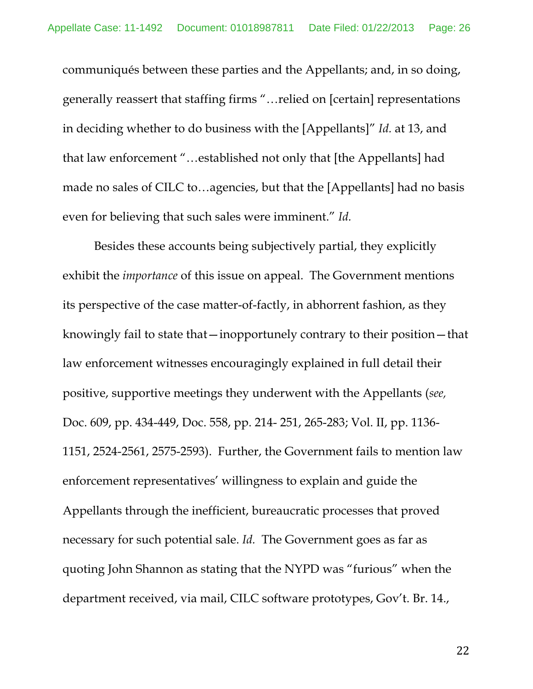communiqués between these parties and the Appellants; and, in so doing, generally reassert that staffing firms "…relied on [certain] representations in deciding whether to do business with the [Appellants]" *Id.* at 13, and that law enforcement "…established not only that [the Appellants] had made no sales of CILC to…agencies, but that the [Appellants] had no basis even for believing that such sales were imminent." *Id.*

Besides these accounts being subjectively partial, they explicitly exhibit the *importance* of this issue on appeal. The Government mentions its perspective of the case matter-of-factly, in abhorrent fashion, as they knowingly fail to state that—inopportunely contrary to their position—that law enforcement witnesses encouragingly explained in full detail their positive, supportive meetings they underwent with the Appellants (*see,*  Doc. 609, pp. 434-449, Doc. 558, pp. 214- 251, 265-283; Vol. II, pp. 1136- 1151, 2524-2561, 2575-2593). Further, the Government fails to mention law enforcement representatives' willingness to explain and guide the Appellants through the inefficient, bureaucratic processes that proved necessary for such potential sale. *Id.* The Government goes as far as quoting John Shannon as stating that the NYPD was "furious" when the department received, via mail, CILC software prototypes, Gov't. Br. 14.,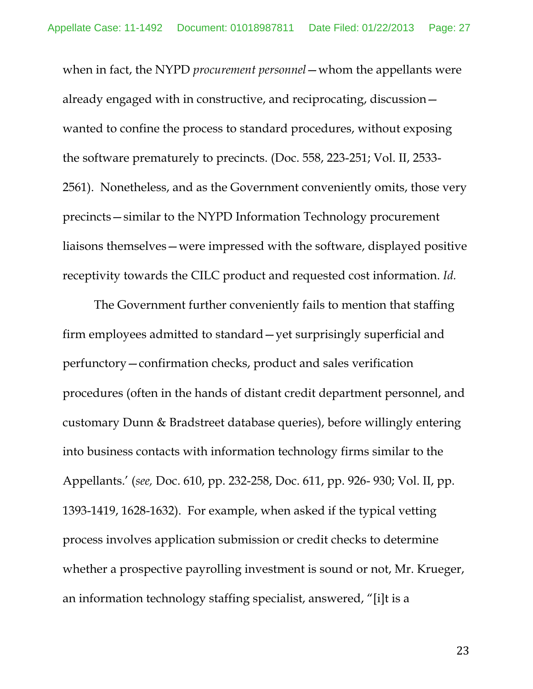when in fact, the NYPD *procurement personnel* — whom the appellants were already engaged with in constructive, and reciprocating, discussion wanted to confine the process to standard procedures, without exposing the software prematurely to precincts. (Doc. 558, 223-251; Vol. II, 2533- 2561). Nonetheless, and as the Government conveniently omits, those very precincts—similar to the NYPD Information Technology procurement liaisons themselves—were impressed with the software, displayed positive receptivity towards the CILC product and requested cost information. *Id.* 

The Government further conveniently fails to mention that staffing firm employees admitted to standard—yet surprisingly superficial and perfunctory—confirmation checks, product and sales verification procedures (often in the hands of distant credit department personnel, and customary Dunn & Bradstreet database queries), before willingly entering into business contacts with information technology firms similar to the Appellants.' (*see,* Doc. 610, pp. 232-258, Doc. 611, pp. 926- 930; Vol. II, pp. 1393-1419, 1628-1632). For example, when asked if the typical vetting process involves application submission or credit checks to determine whether a prospective payrolling investment is sound or not, Mr. Krueger, an information technology staffing specialist, answered, "[i]t is a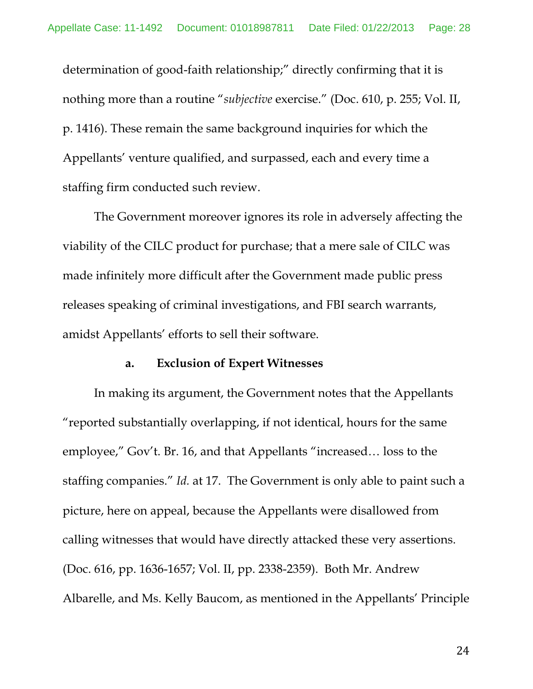determination of good-faith relationship;" directly confirming that it is nothing more than a routine "*subjective* exercise." (Doc. 610, p. 255; Vol. II, p. 1416). These remain the same background inquiries for which the Appellants' venture qualified, and surpassed, each and every time a staffing firm conducted such review.

The Government moreover ignores its role in adversely affecting the viability of the CILC product for purchase; that a mere sale of CILC was made infinitely more difficult after the Government made public press releases speaking of criminal investigations, and FBI search warrants, amidst Appellants' efforts to sell their software.

#### **a. Exclusion of Expert Witnesses**

In making its argument, the Government notes that the Appellants "reported substantially overlapping, if not identical, hours for the same employee," Gov't. Br. 16, and that Appellants "increased… loss to the staffing companies." *Id.* at 17. The Government is only able to paint such a picture, here on appeal, because the Appellants were disallowed from calling witnesses that would have directly attacked these very assertions. (Doc. 616, pp. 1636-1657; Vol. II, pp. 2338-2359). Both Mr. Andrew Albarelle, and Ms. Kelly Baucom, as mentioned in the Appellants' Principle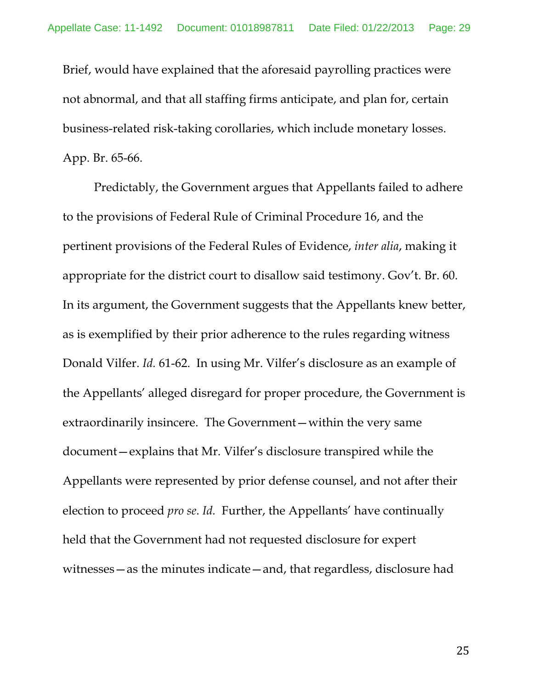Brief, would have explained that the aforesaid payrolling practices were not abnormal, and that all staffing firms anticipate, and plan for, certain business-related risk-taking corollaries, which include monetary losses. App. Br. 65-66.

Predictably, the Government argues that Appellants failed to adhere to the provisions of Federal Rule of Criminal Procedure 16, and the pertinent provisions of the Federal Rules of Evidence, *inter alia*, making it appropriate for the district court to disallow said testimony. Gov't. Br. 60. In its argument, the Government suggests that the Appellants knew better, as is exemplified by their prior adherence to the rules regarding witness Donald Vilfer. *Id.* 61-62. In using Mr. Vilfer's disclosure as an example of the Appellants' alleged disregard for proper procedure, the Government is extraordinarily insincere. The Government—within the very same document—explains that Mr. Vilfer's disclosure transpired while the Appellants were represented by prior defense counsel, and not after their election to proceed *pro se*. *Id.* Further, the Appellants' have continually held that the Government had not requested disclosure for expert witnesses—as the minutes indicate—and, that regardless, disclosure had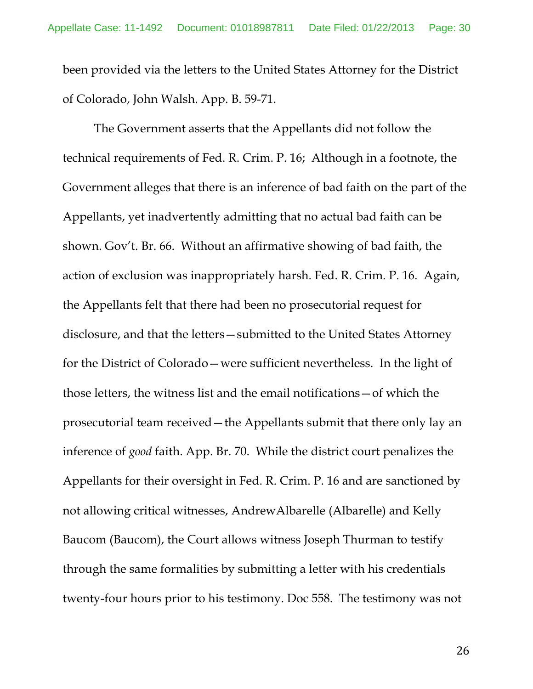been provided via the letters to the United States Attorney for the District of Colorado, John Walsh. App. B. 59-71.

The Government asserts that the Appellants did not follow the technical requirements of Fed. R. Crim. P. 16; Although in a footnote, the Government alleges that there is an inference of bad faith on the part of the Appellants, yet inadvertently admitting that no actual bad faith can be shown. Gov't. Br. 66. Without an affirmative showing of bad faith, the action of exclusion was inappropriately harsh. Fed. R. Crim. P. 16. Again, the Appellants felt that there had been no prosecutorial request for disclosure, and that the letters—submitted to the United States Attorney for the District of Colorado—were sufficient nevertheless. In the light of those letters, the witness list and the email notifications—of which the prosecutorial team received—the Appellants submit that there only lay an inference of *good* faith. App. Br. 70. While the district court penalizes the Appellants for their oversight in Fed. R. Crim. P. 16 and are sanctioned by not allowing critical witnesses, AndrewAlbarelle (Albarelle) and Kelly Baucom (Baucom), the Court allows witness Joseph Thurman to testify through the same formalities by submitting a letter with his credentials twenty-four hours prior to his testimony. Doc 558. The testimony was not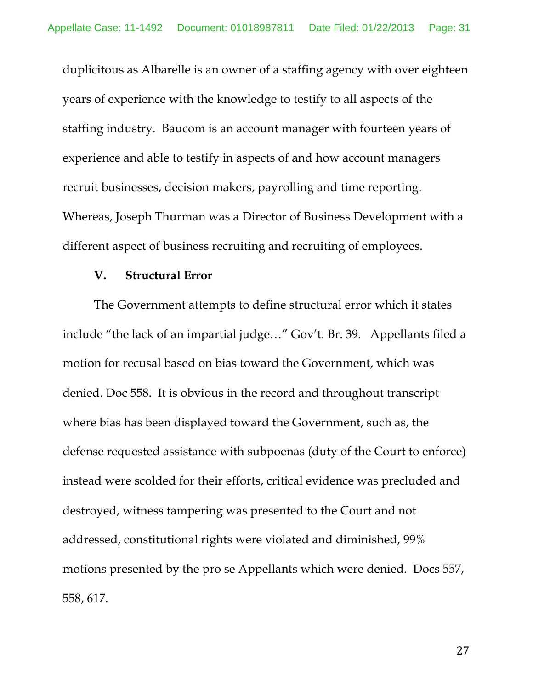duplicitous as Albarelle is an owner of a staffing agency with over eighteen years of experience with the knowledge to testify to all aspects of the staffing industry. Baucom is an account manager with fourteen years of experience and able to testify in aspects of and how account managers recruit businesses, decision makers, payrolling and time reporting. Whereas, Joseph Thurman was a Director of Business Development with a different aspect of business recruiting and recruiting of employees.

#### **V. Structural Error**

The Government attempts to define structural error which it states include "the lack of an impartial judge…" Gov't. Br. 39. Appellants filed a motion for recusal based on bias toward the Government, which was denied. Doc 558. It is obvious in the record and throughout transcript where bias has been displayed toward the Government, such as, the defense requested assistance with subpoenas (duty of the Court to enforce) instead were scolded for their efforts, critical evidence was precluded and destroyed, witness tampering was presented to the Court and not addressed, constitutional rights were violated and diminished, 99% motions presented by the pro se Appellants which were denied. Docs 557, 558, 617.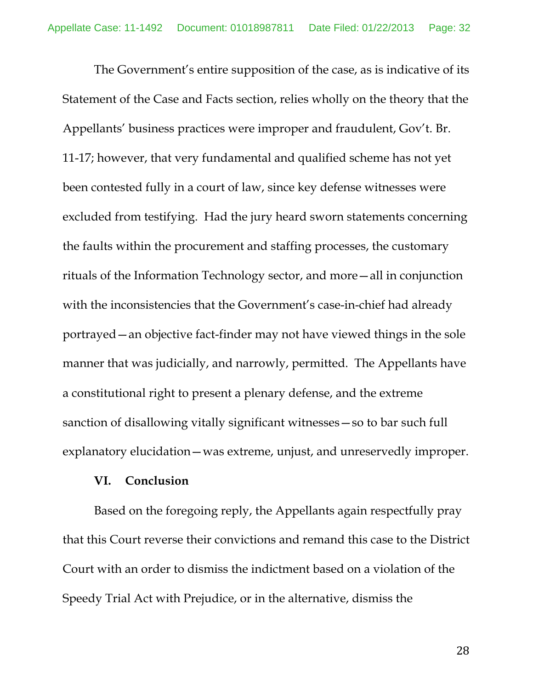The Government's entire supposition of the case, as is indicative of its Statement of the Case and Facts section, relies wholly on the theory that the Appellants' business practices were improper and fraudulent, Gov't. Br. 11-17; however, that very fundamental and qualified scheme has not yet been contested fully in a court of law, since key defense witnesses were excluded from testifying. Had the jury heard sworn statements concerning the faults within the procurement and staffing processes, the customary rituals of the Information Technology sector, and more—all in conjunction with the inconsistencies that the Government's case-in-chief had already portrayed—an objective fact-finder may not have viewed things in the sole manner that was judicially, and narrowly, permitted. The Appellants have a constitutional right to present a plenary defense, and the extreme sanction of disallowing vitally significant witnesses—so to bar such full explanatory elucidation—was extreme, unjust, and unreservedly improper.

#### **VI. Conclusion**

Based on the foregoing reply, the Appellants again respectfully pray that this Court reverse their convictions and remand this case to the District Court with an order to dismiss the indictment based on a violation of the Speedy Trial Act with Prejudice, or in the alternative, dismiss the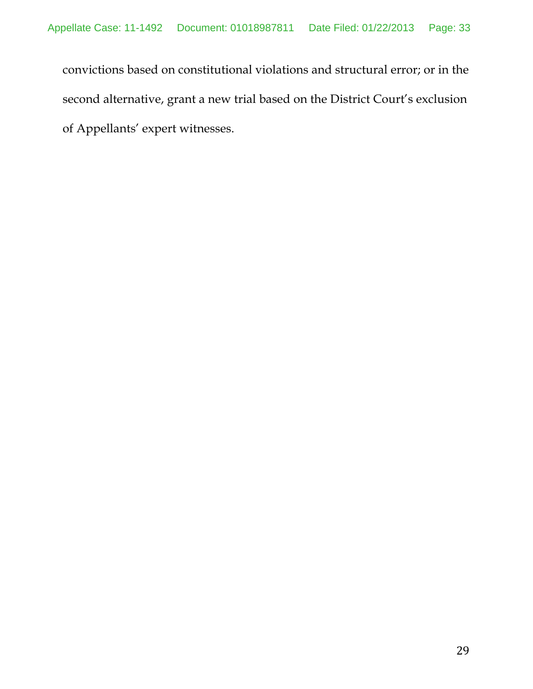convictions based on constitutional violations and structural error; or in the second alternative, grant a new trial based on the District Court's exclusion of Appellants' expert witnesses.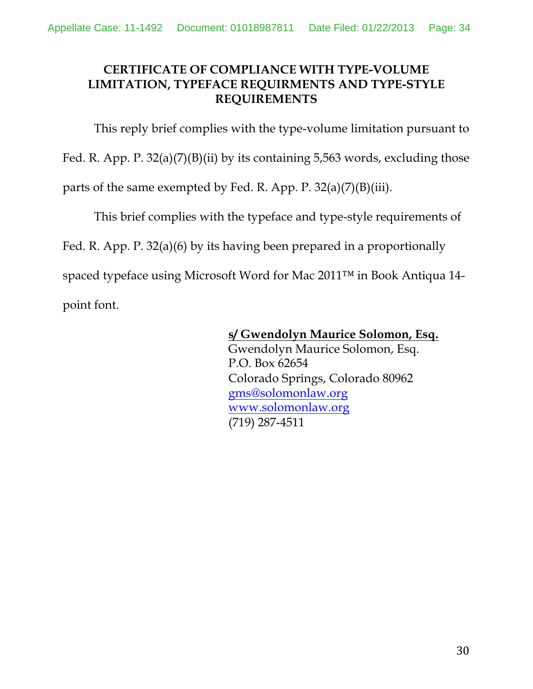# **CERTIFICATE OF COMPLIANCE WITH TYPE-VOLUME LIMITATION, TYPEFACE REQUIRMENTS AND TYPE-STYLE REQUIREMENTS**

This reply brief complies with the type-volume limitation pursuant to

Fed. R. App. P. 32(a)(7)(B)(ii) by its containing 5,563 words, excluding those

parts of the same exempted by Fed. R. App. P. 32(a)(7)(B)(iii).

This brief complies with the typeface and type-style requirements of

Fed. R. App. P. 32(a)(6) by its having been prepared in a proportionally

spaced typeface using Microsoft Word for Mac 2011™ in Book Antiqua 14-

point font.

# **s/ Gwendolyn Maurice Solomon, Esq.**

 Gwendolyn Maurice Solomon, Esq. P.O. Box 62654 Colorado Springs, Colorado 80962 gms@solomonlaw.org www.solomonlaw.org (719) 287-4511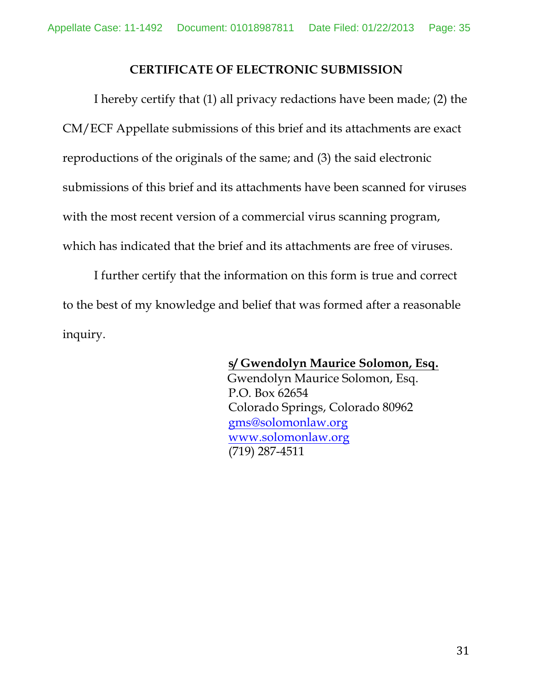### **CERTIFICATE OF ELECTRONIC SUBMISSION**

I hereby certify that (1) all privacy redactions have been made; (2) the CM/ECF Appellate submissions of this brief and its attachments are exact reproductions of the originals of the same; and (3) the said electronic submissions of this brief and its attachments have been scanned for viruses with the most recent version of a commercial virus scanning program, which has indicated that the brief and its attachments are free of viruses.

I further certify that the information on this form is true and correct to the best of my knowledge and belief that was formed after a reasonable inquiry.

> **s/ Gwendolyn Maurice Solomon, Esq.** Gwendolyn Maurice Solomon, Esq. P.O. Box 62654 Colorado Springs, Colorado 80962 gms@solomonlaw.org www.solomonlaw.org (719) 287-4511